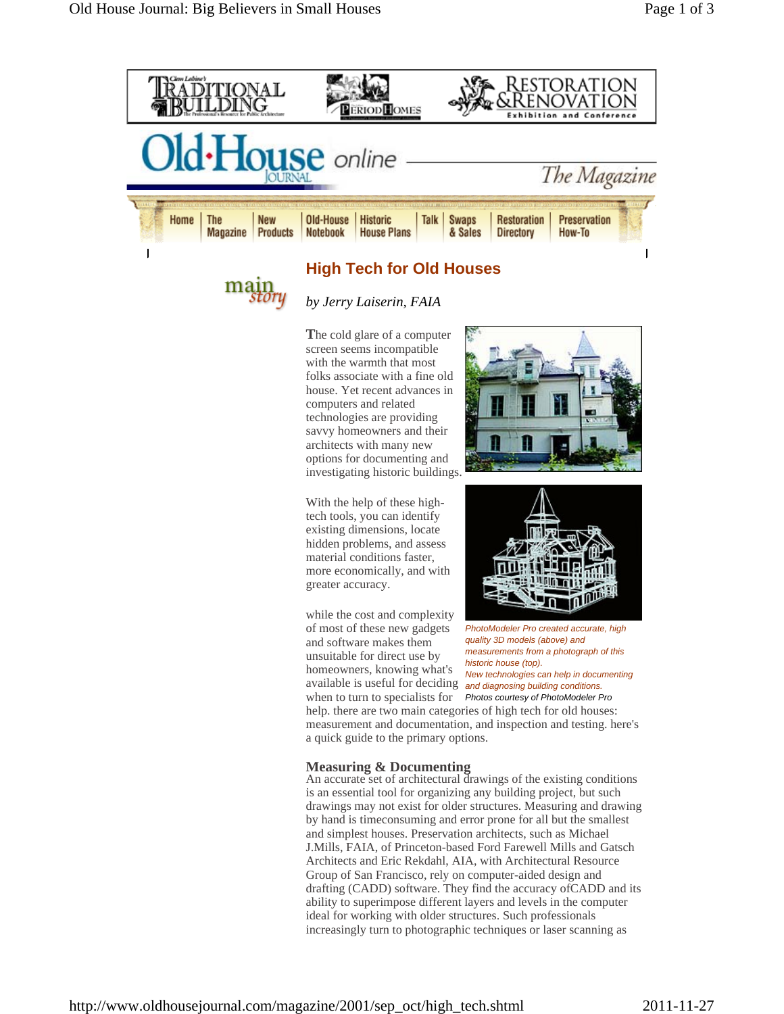



*by Jerry Laiserin, FAIA* 

**T**he cold glare of a computer screen seems incompatible with the warmth that most folks associate with a fine old house. Yet recent advances in computers and related technologies are providing savvy homeowners and their architects with many new options for documenting and investigating historic buildings.



With the help of these hightech tools, you can identify existing dimensions, locate hidden problems, and assess material conditions faster, more economically, and with greater accuracy.

while the cost and complexity of most of these new gadgets and software makes them unsuitable for direct use by homeowners, knowing what's available is useful for deciding *and diagnosing building conditions.*  when to turn to specialists for *Photos courtesy of PhotoModeler Pro*



*PhotoModeler Pro created accurate, high quality 3D models (above) and measurements from a photograph of this historic house (top). New technologies can help in documenting* 

help. there are two main categories of high tech for old houses: measurement and documentation, and inspection and testing. here's a quick guide to the primary options.

## **Measuring & Documenting**

An accurate set of architectural drawings of the existing conditions is an essential tool for organizing any building project, but such drawings may not exist for older structures. Measuring and drawing by hand is timeconsuming and error prone for all but the smallest and simplest houses. Preservation architects, such as Michael J.Mills, FAIA, of Princeton-based Ford Farewell Mills and Gatsch Architects and Eric Rekdahl, AIA, with Architectural Resource Group of San Francisco, rely on computer-aided design and drafting (CADD) software. They find the accuracy ofCADD and its ability to superimpose different layers and levels in the computer ideal for working with older structures. Such professionals increasingly turn to photographic techniques or laser scanning as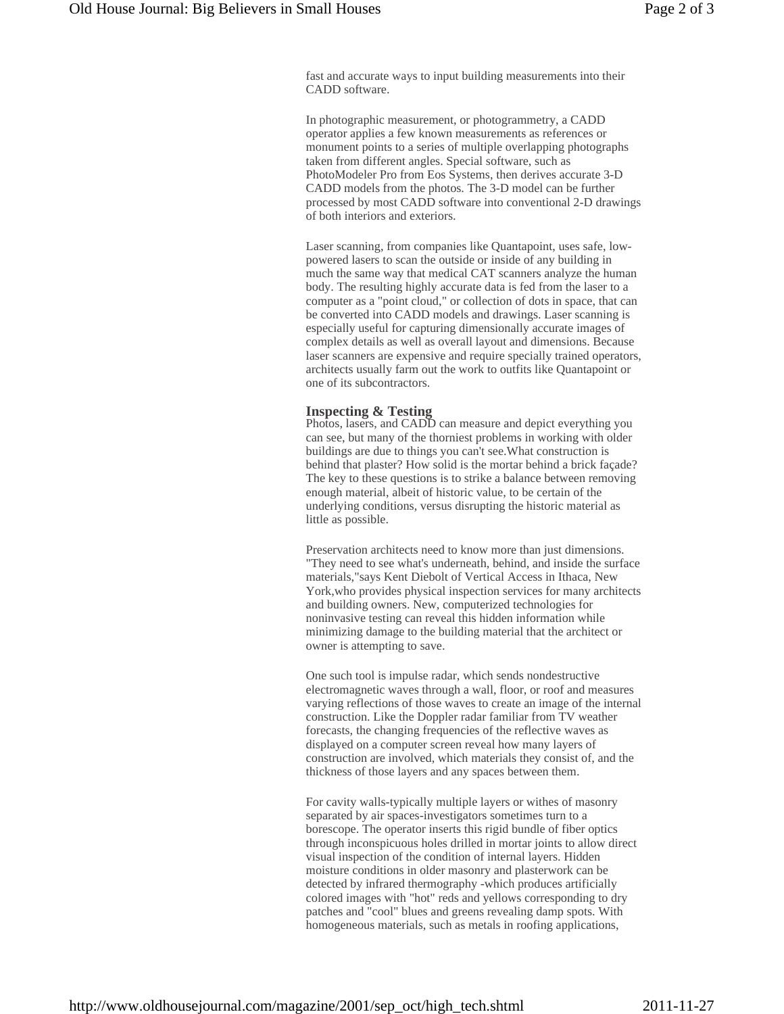fast and accurate ways to input building measurements into their CADD software.

In photographic measurement, or photogrammetry, a CADD operator applies a few known measurements as references or monument points to a series of multiple overlapping photographs taken from different angles. Special software, such as PhotoModeler Pro from Eos Systems, then derives accurate 3-D CADD models from the photos. The 3-D model can be further processed by most CADD software into conventional 2-D drawings of both interiors and exteriors.

Laser scanning, from companies like Quantapoint, uses safe, lowpowered lasers to scan the outside or inside of any building in much the same way that medical CAT scanners analyze the human body. The resulting highly accurate data is fed from the laser to a computer as a "point cloud," or collection of dots in space, that can be converted into CADD models and drawings. Laser scanning is especially useful for capturing dimensionally accurate images of complex details as well as overall layout and dimensions. Because laser scanners are expensive and require specially trained operators, architects usually farm out the work to outfits like Quantapoint or one of its subcontractors.

## **Inspecting & Testing**

Photos, lasers, and CADD can measure and depict everything you can see, but many of the thorniest problems in working with older buildings are due to things you can't see.What construction is behind that plaster? How solid is the mortar behind a brick façade? The key to these questions is to strike a balance between removing enough material, albeit of historic value, to be certain of the underlying conditions, versus disrupting the historic material as little as possible.

Preservation architects need to know more than just dimensions. "They need to see what's underneath, behind, and inside the surface materials,"says Kent Diebolt of Vertical Access in Ithaca, New York,who provides physical inspection services for many architects and building owners. New, computerized technologies for noninvasive testing can reveal this hidden information while minimizing damage to the building material that the architect or owner is attempting to save.

One such tool is impulse radar, which sends nondestructive electromagnetic waves through a wall, floor, or roof and measures varying reflections of those waves to create an image of the internal construction. Like the Doppler radar familiar from TV weather forecasts, the changing frequencies of the reflective waves as displayed on a computer screen reveal how many layers of construction are involved, which materials they consist of, and the thickness of those layers and any spaces between them.

For cavity walls-typically multiple layers or withes of masonry separated by air spaces-investigators sometimes turn to a borescope. The operator inserts this rigid bundle of fiber optics through inconspicuous holes drilled in mortar joints to allow direct visual inspection of the condition of internal layers. Hidden moisture conditions in older masonry and plasterwork can be detected by infrared thermography -which produces artificially colored images with "hot" reds and yellows corresponding to dry patches and "cool" blues and greens revealing damp spots. With homogeneous materials, such as metals in roofing applications,